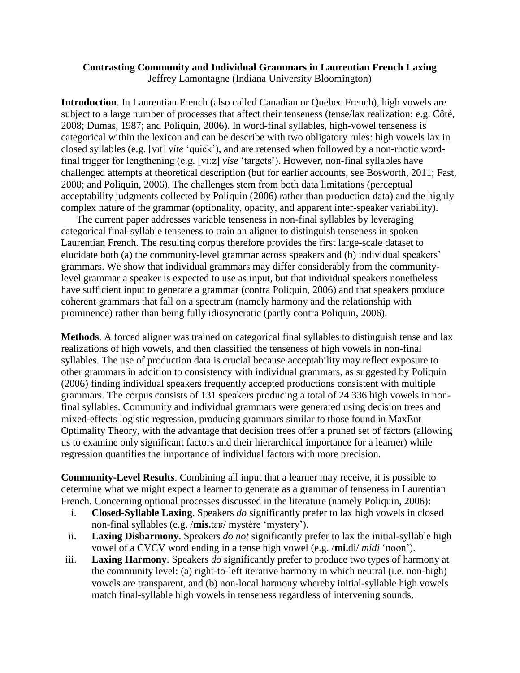## **Contrasting Community and Individual Grammars in Laurentian French Laxing** Jeffrey Lamontagne (Indiana University Bloomington)

**Introduction**. In Laurentian French (also called Canadian or Quebec French), high vowels are subject to a large number of processes that affect their tenseness (tense/lax realization; e.g. Côté, 2008; Dumas, 1987; and Poliquin, 2006). In word-final syllables, high-vowel tenseness is categorical within the lexicon and can be describe with two obligatory rules: high vowels lax in closed syllables (e.g. [vɪt] *vite* 'quick'), and are retensed when followed by a non-rhotic wordfinal trigger for lengthening (e.g. [viːz] *vise* 'targets'). However, non-final syllables have challenged attempts at theoretical description (but for earlier accounts, see Bosworth, 2011; Fast, 2008; and Poliquin, 2006). The challenges stem from both data limitations (perceptual acceptability judgments collected by Poliquin (2006) rather than production data) and the highly complex nature of the grammar (optionality, opacity, and apparent inter-speaker variability).

The current paper addresses variable tenseness in non-final syllables by leveraging categorical final-syllable tenseness to train an aligner to distinguish tenseness in spoken Laurentian French. The resulting corpus therefore provides the first large-scale dataset to elucidate both (a) the community-level grammar across speakers and (b) individual speakers' grammars. We show that individual grammars may differ considerably from the communitylevel grammar a speaker is expected to use as input, but that individual speakers nonetheless have sufficient input to generate a grammar (contra Poliquin, 2006) and that speakers produce coherent grammars that fall on a spectrum (namely harmony and the relationship with prominence) rather than being fully idiosyncratic (partly contra Poliquin, 2006).

**Methods**. A forced aligner was trained on categorical final syllables to distinguish tense and lax realizations of high vowels, and then classified the tenseness of high vowels in non-final syllables. The use of production data is crucial because acceptability may reflect exposure to other grammars in addition to consistency with individual grammars, as suggested by Poliquin (2006) finding individual speakers frequently accepted productions consistent with multiple grammars. The corpus consists of 131 speakers producing a total of 24 336 high vowels in nonfinal syllables. Community and individual grammars were generated using decision trees and mixed-effects logistic regression, producing grammars similar to those found in MaxEnt Optimality Theory, with the advantage that decision trees offer a pruned set of factors (allowing us to examine only significant factors and their hierarchical importance for a learner) while regression quantifies the importance of individual factors with more precision.

**Community-Level Results**. Combining all input that a learner may receive, it is possible to determine what we might expect a learner to generate as a grammar of tenseness in Laurentian French. Concerning optional processes discussed in the literature (namely Poliquin, 2006):

- i. **Closed-Syllable Laxing**. Speakers *do* significantly prefer to lax high vowels in closed non-final syllables (e.g. /**mis.**tɛʁ/ mystère 'mystery').
- ii. **Laxing Disharmony**. Speakers *do not* significantly prefer to lax the initial-syllable high vowel of a CVCV word ending in a tense high vowel (e.g. /**mi.**di/ *midi* 'noon').
- iii. **Laxing Harmony**. Speakers *do* significantly prefer to produce two types of harmony at the community level: (a) right-to-left iterative harmony in which neutral (i.e. non-high) vowels are transparent, and (b) non-local harmony whereby initial-syllable high vowels match final-syllable high vowels in tenseness regardless of intervening sounds.